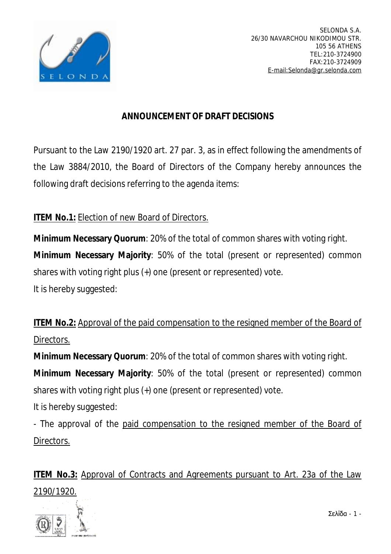

## **ANNOUNCEMENT OF DRAFT DECISIONS**

Pursuant to the Law 2190/1920 art. 27 par. 3, as in effect following the amendments of the Law 3884/2010, the Board of Directors of the Company hereby announces the following draft decisions referring to the agenda items:

## **ITEM No.1:** Election of new Board of Directors.

**Minimum Necessary Quorum**: 20% of the total of common shares with voting right.

**Minimum Necessary Majority**: 50% of the total (present or represented) common shares with voting right plus (+) one (present or represented) vote.

It is hereby suggested:

**ITEM No.2:** Approval of the paid compensation to the resigned member of the Board of Directors.

**Minimum Necessary Quorum**: 20% of the total of common shares with voting right.

**Minimum Necessary Majority**: 50% of the total (present or represented) common shares with voting right plus (+) one (present or represented) vote.

It is hereby suggested:

- The approval of the paid compensation to the resigned member of the Board of Directors.

**ITEM No.3:** Approval of Contracts and Agreements pursuant to Art. 23a of the Law 2190/1920.



Σελίδα - 1 -